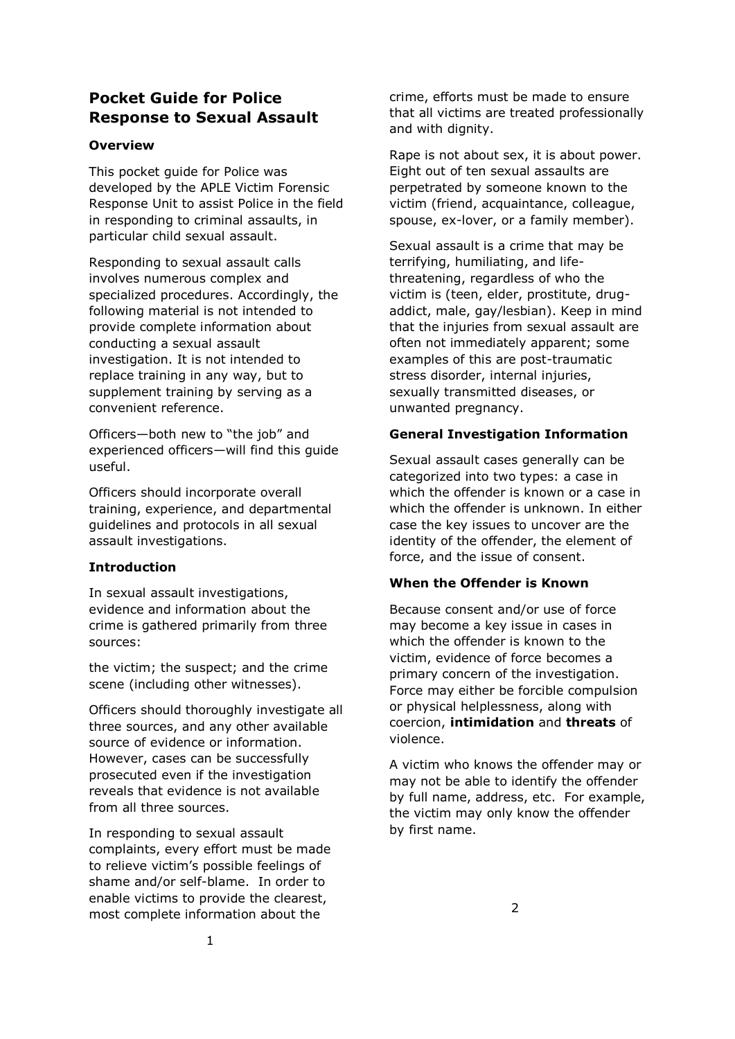# **Pocket Guide for Police Response to Sexual Assault**

#### **Overview**

This pocket guide for Police was developed by the APLE Victim Forensic Response Unit to assist Police in the field in responding to criminal assaults, in particular child sexual assault.

Responding to sexual assault calls involves numerous complex and specialized procedures. Accordingly, the following material is not intended to provide complete information about conducting a sexual assault investigation. It is not intended to replace training in any way, but to supplement training by serving as a convenient reference.

Officers—both new to "the job" and experienced officers—will find this guide useful.

Officers should incorporate overall training, experience, and departmental guidelines and protocols in all sexual assault investigations.

### **Introduction**

In sexual assault investigations, evidence and information about the crime is gathered primarily from three sources:

the victim; the suspect; and the crime scene (including other witnesses).

Officers should thoroughly investigate all three sources, and any other available source of evidence or information. However, cases can be successfully prosecuted even if the investigation reveals that evidence is not available from all three sources.

In responding to sexual assault complaints, every effort must be made to relieve victim's possible feelings of shame and/or self-blame. In order to enable victims to provide the clearest, most complete information about the

crime, efforts must be made to ensure that all victims are treated professionally and with dignity.

Rape is not about sex, it is about power. Eight out of ten sexual assaults are perpetrated by someone known to the victim (friend, acquaintance, colleague, spouse, ex-lover, or a family member).

Sexual assault is a crime that may be terrifying, humiliating, and lifethreatening, regardless of who the victim is (teen, elder, prostitute, drugaddict, male, gay/lesbian). Keep in mind that the injuries from sexual assault are often not immediately apparent; some examples of this are post-traumatic stress disorder, internal injuries, sexually transmitted diseases, or unwanted pregnancy.

#### **General Investigation Information**

Sexual assault cases generally can be categorized into two types: a case in which the offender is known or a case in which the offender is unknown. In either case the key issues to uncover are the identity of the offender, the element of force, and the issue of consent.

#### **When the Offender is Known**

Because consent and/or use of force may become a key issue in cases in which the offender is known to the victim, evidence of force becomes a primary concern of the investigation. Force may either be forcible compulsion or physical helplessness, along with coercion, **intimidation** and **threats** of violence.

A victim who knows the offender may or may not be able to identify the offender by full name, address, etc. For example, the victim may only know the offender by first name.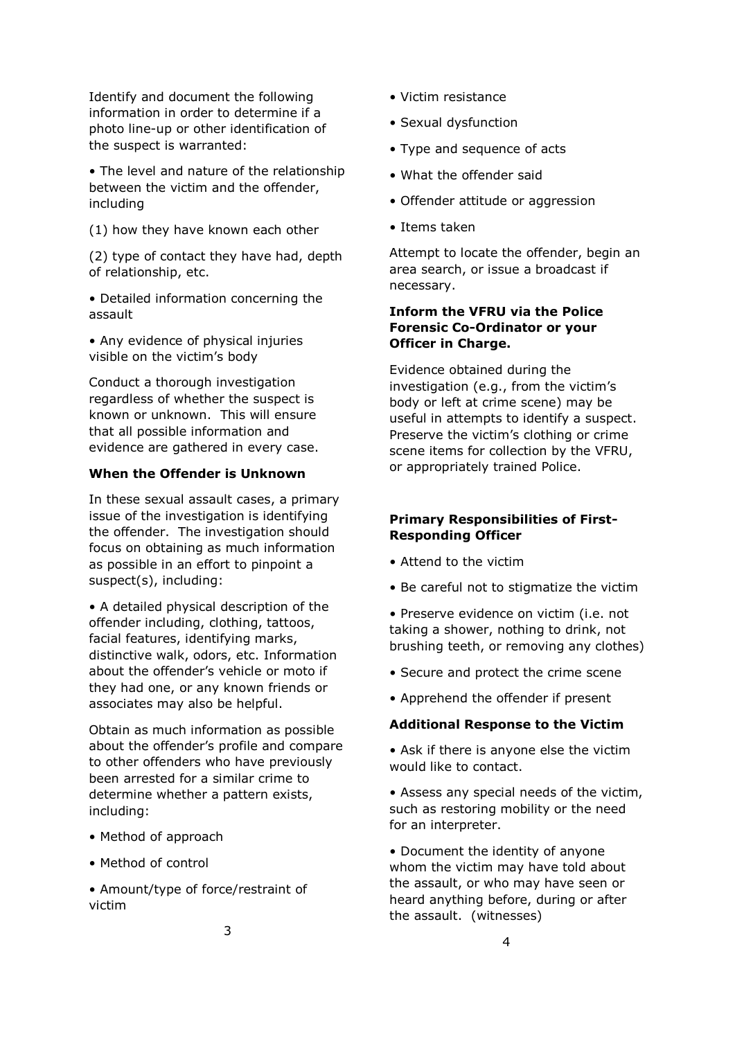Identify and document the following information in order to determine if a photo line-up or other identification of the suspect is warranted:

• The level and nature of the relationship between the victim and the offender, including

(1) how they have known each other

(2) type of contact they have had, depth of relationship, etc.

• Detailed information concerning the assault

• Any evidence of physical injuries visible on the victim's body

Conduct a thorough investigation regardless of whether the suspect is known or unknown. This will ensure that all possible information and evidence are gathered in every case.

#### **When the Offender is Unknown**

In these sexual assault cases, a primary issue of the investigation is identifying the offender. The investigation should focus on obtaining as much information as possible in an effort to pinpoint a suspect(s), including:

• A detailed physical description of the offender including, clothing, tattoos, facial features, identifying marks, distinctive walk, odors, etc. Information about the offender's vehicle or moto if they had one, or any known friends or associates may also be helpful.

Obtain as much information as possible about the offender's profile and compare to other offenders who have previously been arrested for a similar crime to determine whether a pattern exists, including:

- Method of approach
- Method of control

• Amount/type of force/restraint of victim

- Victim resistance
- Sexual dysfunction
- Type and sequence of acts
- What the offender said
- Offender attitude or aggression
- Items taken

Attempt to locate the offender, begin an area search, or issue a broadcast if necessary.

### **Inform the VFRU via the Police Forensic Co-Ordinator or your Officer in Charge.**

Evidence obtained during the investigation (e.g., from the victim's body or left at crime scene) may be useful in attempts to identify a suspect. Preserve the victim's clothing or crime scene items for collection by the VFRU, or appropriately trained Police.

### **Primary Responsibilities of First-Responding Officer**

- Attend to the victim
- Be careful not to stigmatize the victim
- Preserve evidence on victim (i.e. not taking a shower, nothing to drink, not brushing teeth, or removing any clothes)
- Secure and protect the crime scene
- Apprehend the offender if present

### **Additional Response to the Victim**

• Ask if there is anyone else the victim would like to contact.

• Assess any special needs of the victim, such as restoring mobility or the need for an interpreter.

• Document the identity of anyone whom the victim may have told about the assault, or who may have seen or heard anything before, during or after the assault. (witnesses)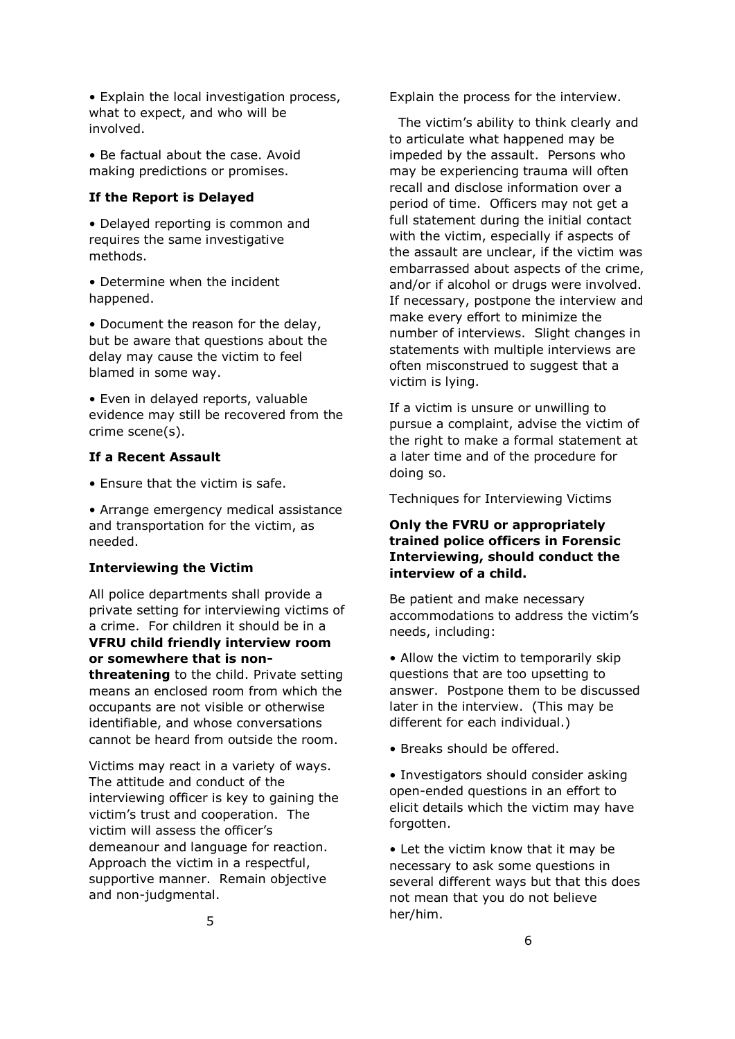• Explain the local investigation process, what to expect, and who will be involved.

• Be factual about the case. Avoid making predictions or promises.

#### **If the Report is Delayed**

• Delayed reporting is common and requires the same investigative methods.

• Determine when the incident happened.

• Document the reason for the delay, but be aware that questions about the delay may cause the victim to feel blamed in some way.

• Even in delayed reports, valuable evidence may still be recovered from the crime scene(s).

#### **If a Recent Assault**

• Ensure that the victim is safe.

• Arrange emergency medical assistance and transportation for the victim, as needed.

#### **Interviewing the Victim**

All police departments shall provide a private setting for interviewing victims of a crime. For children it should be in a **VFRU child friendly interview room or somewhere that is nonthreatening** to the child. Private setting means an enclosed room from which the occupants are not visible or otherwise identifiable, and whose conversations cannot be heard from outside the room.

Victims may react in a variety of ways. The attitude and conduct of the interviewing officer is key to gaining the victim's trust and cooperation. The victim will assess the officer's demeanour and language for reaction. Approach the victim in a respectful, supportive manner. Remain objective and non-judgmental.

Explain the process for the interview.

 The victim's ability to think clearly and to articulate what happened may be impeded by the assault. Persons who may be experiencing trauma will often recall and disclose information over a period of time. Officers may not get a full statement during the initial contact with the victim, especially if aspects of the assault are unclear, if the victim was embarrassed about aspects of the crime, and/or if alcohol or drugs were involved. If necessary, postpone the interview and make every effort to minimize the number of interviews. Slight changes in statements with multiple interviews are often misconstrued to suggest that a victim is lying.

If a victim is unsure or unwilling to pursue a complaint, advise the victim of the right to make a formal statement at a later time and of the procedure for doing so.

Techniques for Interviewing Victims

#### **Only the FVRU or appropriately trained police officers in Forensic Interviewing, should conduct the interview of a child.**

Be patient and make necessary accommodations to address the victim's needs, including:

• Allow the victim to temporarily skip questions that are too upsetting to answer. Postpone them to be discussed later in the interview. (This may be different for each individual.)

• Breaks should be offered.

• Investigators should consider asking open-ended questions in an effort to elicit details which the victim may have forgotten.

• Let the victim know that it may be necessary to ask some questions in several different ways but that this does not mean that you do not believe her/him.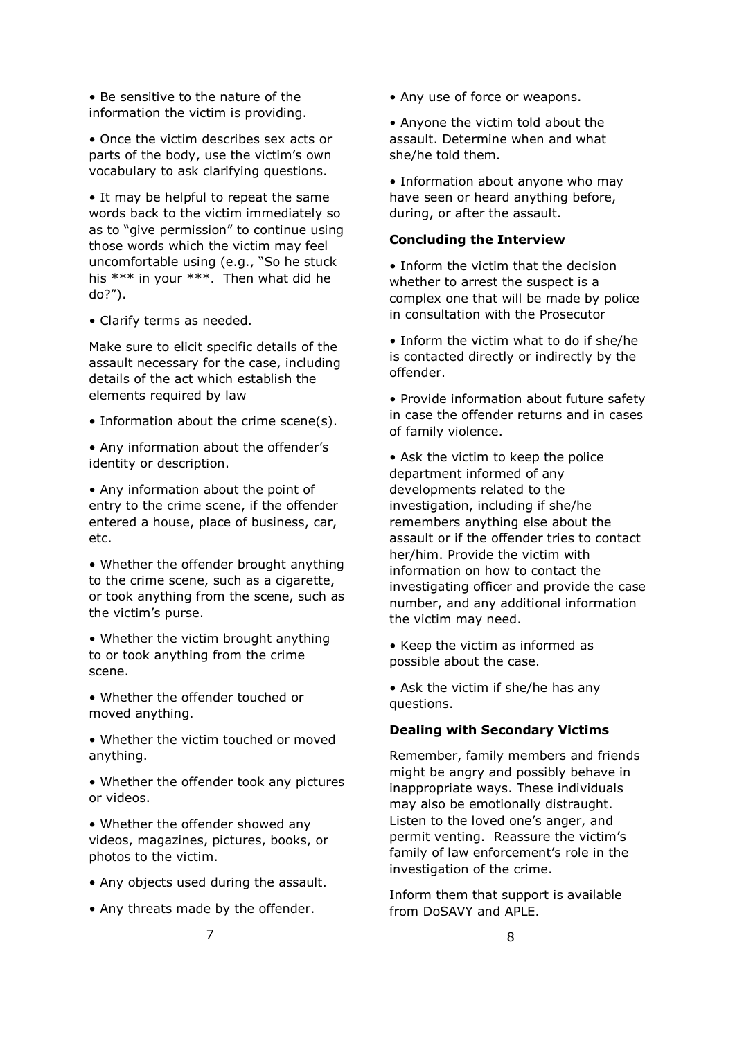• Be sensitive to the nature of the information the victim is providing.

• Once the victim describes sex acts or parts of the body, use the victim's own vocabulary to ask clarifying questions.

• It may be helpful to repeat the same words back to the victim immediately so as to "give permission" to continue using those words which the victim may feel uncomfortable using (e.g., "So he stuck his \*\*\* in your \*\*\*. Then what did he do?").

• Clarify terms as needed.

Make sure to elicit specific details of the assault necessary for the case, including details of the act which establish the elements required by law

• Information about the crime scene(s).

• Any information about the offender's identity or description.

• Any information about the point of entry to the crime scene, if the offender entered a house, place of business, car, etc.

• Whether the offender brought anything to the crime scene, such as a cigarette, or took anything from the scene, such as the victim's purse.

• Whether the victim brought anything to or took anything from the crime scene.

• Whether the offender touched or moved anything.

• Whether the victim touched or moved anything.

• Whether the offender took any pictures or videos.

• Whether the offender showed any videos, magazines, pictures, books, or photos to the victim.

- Any objects used during the assault.
- Any threats made by the offender.

• Any use of force or weapons.

• Anyone the victim told about the assault. Determine when and what she/he told them.

• Information about anyone who may have seen or heard anything before, during, or after the assault.

#### **Concluding the Interview**

• Inform the victim that the decision whether to arrest the suspect is a complex one that will be made by police in consultation with the Prosecutor

• Inform the victim what to do if she/he is contacted directly or indirectly by the offender.

• Provide information about future safety in case the offender returns and in cases of family violence.

• Ask the victim to keep the police department informed of any developments related to the investigation, including if she/he remembers anything else about the assault or if the offender tries to contact her/him. Provide the victim with information on how to contact the investigating officer and provide the case number, and any additional information the victim may need.

• Keep the victim as informed as possible about the case.

• Ask the victim if she/he has any questions.

#### **Dealing with Secondary Victims**

Remember, family members and friends might be angry and possibly behave in inappropriate ways. These individuals may also be emotionally distraught. Listen to the loved one's anger, and permit venting. Reassure the victim's family of law enforcement's role in the investigation of the crime.

Inform them that support is available from DoSAVY and APLE.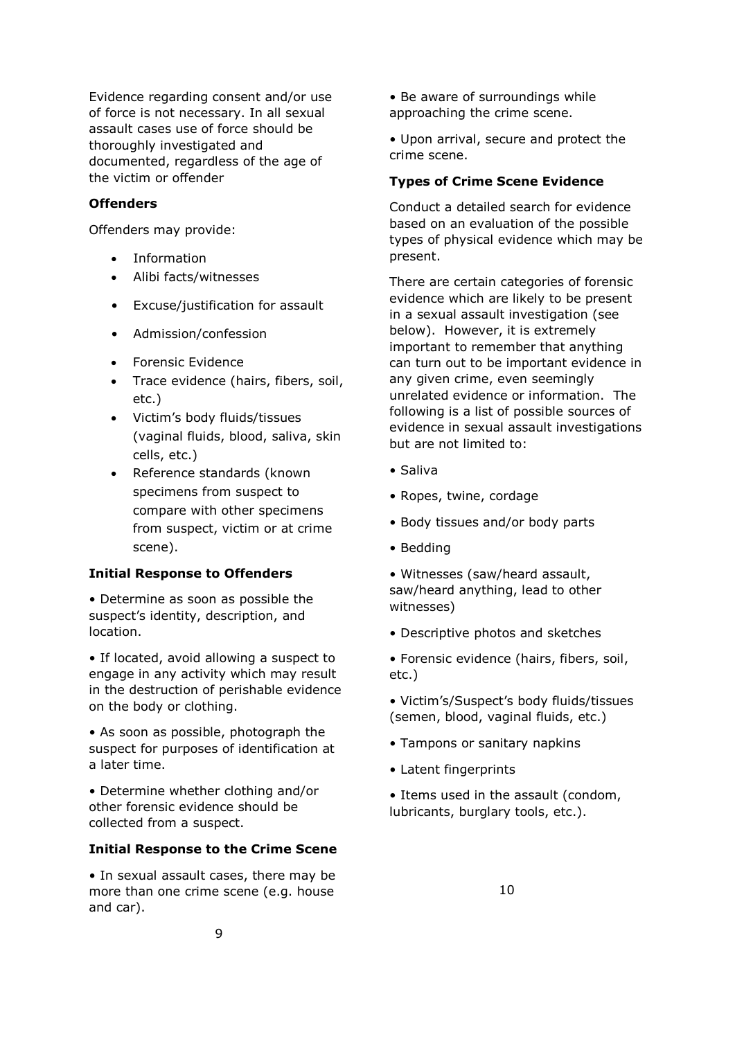Evidence regarding consent and/or use of force is not necessary. In all sexual assault cases use of force should be thoroughly investigated and documented, regardless of the age of the victim or offender

#### **Offenders**

Offenders may provide:

- Information
- Alibi facts/witnesses
- Excuse/justification for assault
- Admission/confession
- Forensic Evidence
- Trace evidence (hairs, fibers, soil, etc.)
- Victim's body fluids/tissues (vaginal fluids, blood, saliva, skin cells, etc.)
- Reference standards (known specimens from suspect to compare with other specimens from suspect, victim or at crime scene).

#### **Initial Response to Offenders**

• Determine as soon as possible the suspect's identity, description, and location.

• If located, avoid allowing a suspect to engage in any activity which may result in the destruction of perishable evidence on the body or clothing.

• As soon as possible, photograph the suspect for purposes of identification at a later time.

• Determine whether clothing and/or other forensic evidence should be collected from a suspect.

#### **Initial Response to the Crime Scene**

• In sexual assault cases, there may be more than one crime scene (e.g. house and car).

• Be aware of surroundings while approaching the crime scene.

• Upon arrival, secure and protect the crime scene.

#### **Types of Crime Scene Evidence**

Conduct a detailed search for evidence based on an evaluation of the possible types of physical evidence which may be present.

There are certain categories of forensic evidence which are likely to be present in a sexual assault investigation (see below). However, it is extremely important to remember that anything can turn out to be important evidence in any given crime, even seemingly unrelated evidence or information. The following is a list of possible sources of evidence in sexual assault investigations but are not limited to:

- Saliva
- Ropes, twine, cordage
- Body tissues and/or body parts
- Bedding
- Witnesses (saw/heard assault, saw/heard anything, lead to other witnesses)
- Descriptive photos and sketches
- Forensic evidence (hairs, fibers, soil, etc.)
- Victim's/Suspect's body fluids/tissues (semen, blood, vaginal fluids, etc.)
- Tampons or sanitary napkins
- Latent fingerprints
- Items used in the assault (condom, lubricants, burglary tools, etc.).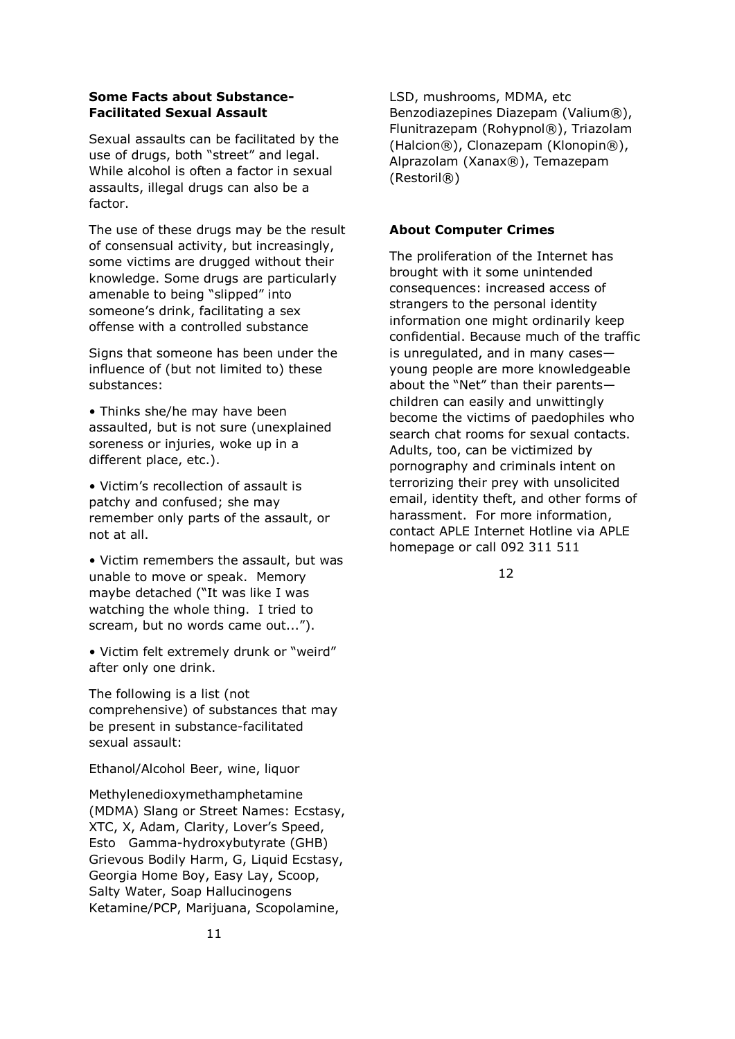#### **Some Facts about Substance-Facilitated Sexual Assault**

Sexual assaults can be facilitated by the use of drugs, both "street" and legal. While alcohol is often a factor in sexual assaults, illegal drugs can also be a factor.

The use of these drugs may be the result of consensual activity, but increasingly, some victims are drugged without their knowledge. Some drugs are particularly amenable to being "slipped" into someone's drink, facilitating a sex offense with a controlled substance

Signs that someone has been under the influence of (but not limited to) these substances:

• Thinks she/he may have been assaulted, but is not sure (unexplained soreness or injuries, woke up in a different place, etc.).

• Victim's recollection of assault is patchy and confused; she may remember only parts of the assault, or not at all.

• Victim remembers the assault, but was unable to move or speak. Memory maybe detached ("It was like I was watching the whole thing. I tried to scream, but no words came out...").

• Victim felt extremely drunk or "weird" after only one drink.

The following is a list (not comprehensive) of substances that may be present in substance-facilitated sexual assault:

Ethanol/Alcohol Beer, wine, liquor

Methylenedioxymethamphetamine (MDMA) Slang or Street Names: Ecstasy, XTC, X, Adam, Clarity, Lover's Speed, Esto Gamma-hydroxybutyrate (GHB) Grievous Bodily Harm, G, Liquid Ecstasy, Georgia Home Boy, Easy Lay, Scoop, Salty Water, Soap Hallucinogens Ketamine/PCP, Marijuana, Scopolamine,

LSD, mushrooms, MDMA, etc Benzodiazepines Diazepam (Valium®), Flunitrazepam (Rohypnol®), Triazolam (Halcion®), Clonazepam (Klonopin®), Alprazolam (Xanax®), Temazepam (Restoril®)

#### **About Computer Crimes**

The proliferation of the Internet has brought with it some unintended consequences: increased access of strangers to the personal identity information one might ordinarily keep confidential. Because much of the traffic is unregulated, and in many cases young people are more knowledgeable about the "Net" than their parents children can easily and unwittingly become the victims of paedophiles who search chat rooms for sexual contacts. Adults, too, can be victimized by pornography and criminals intent on terrorizing their prey with unsolicited email, identity theft, and other forms of harassment. For more information, contact APLE Internet Hotline via APLE homepage or call 092 311 511

12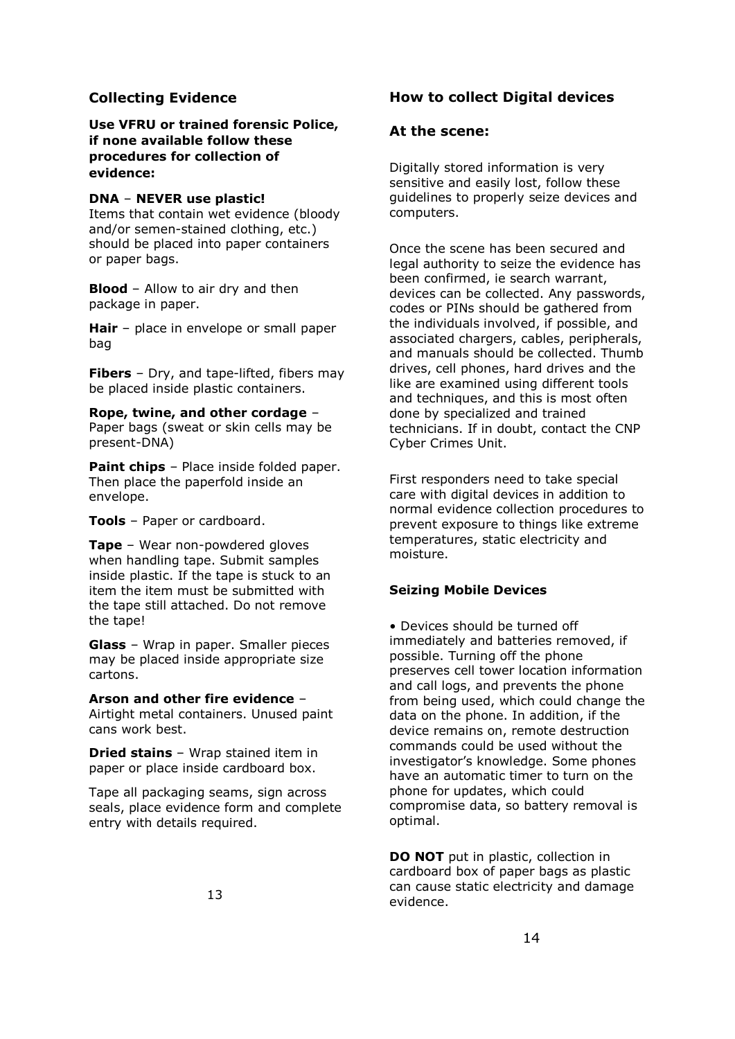## **Collecting Evidence**

**Use VFRU or trained forensic Police, if none available follow these procedures for collection of evidence:**

#### **DNA** – **NEVER use plastic!**

Items that contain wet evidence (bloody and/or semen-stained clothing, etc.) should be placed into paper containers or paper bags.

**Blood** – Allow to air dry and then package in paper.

**Hair** – place in envelope or small paper bag

**Fibers** – Dry, and tape-lifted, fibers may be placed inside plastic containers.

**Rope, twine, and other cordage** – Paper bags (sweat or skin cells may be present-DNA)

**Paint chips** – Place inside folded paper. Then place the paperfold inside an envelope.

**Tools** – Paper or cardboard.

**Tape** – Wear non-powdered gloves when handling tape. Submit samples inside plastic. If the tape is stuck to an item the item must be submitted with the tape still attached. Do not remove the tape!

**Glass** – Wrap in paper. Smaller pieces may be placed inside appropriate size cartons.

#### **Arson and other fire evidence** –

Airtight metal containers. Unused paint cans work best.

**Dried stains** – Wrap stained item in paper or place inside cardboard box.

Tape all packaging seams, sign across seals, place evidence form and complete entry with details required.

## **How to collect Digital devices**

### **At the scene:**

Digitally stored information is very sensitive and easily lost, follow these guidelines to properly seize devices and computers.

Once the scene has been secured and legal authority to seize the evidence has been confirmed, ie search warrant, devices can be collected. Any passwords, codes or PINs should be gathered from the individuals involved, if possible, and associated chargers, cables, peripherals, and manuals should be collected. Thumb drives, cell phones, hard drives and the like are examined using different tools and techniques, and this is most often done by specialized and trained technicians. If in doubt, contact the CNP Cyber Crimes Unit.

First responders need to take special care with digital devices in addition to normal evidence collection procedures to prevent exposure to things like extreme temperatures, static electricity and moisture.

### **Seizing Mobile Devices**

• Devices should be turned off immediately and batteries removed, if possible. Turning off the phone preserves cell tower location information and call logs, and prevents the phone from being used, which could change the data on the phone. In addition, if the device remains on, remote destruction commands could be used without the investigator's knowledge. Some phones have an automatic timer to turn on the phone for updates, which could compromise data, so battery removal is optimal.

**DO NOT** put in plastic, collection in cardboard box of paper bags as plastic can cause static electricity and damage evidence.